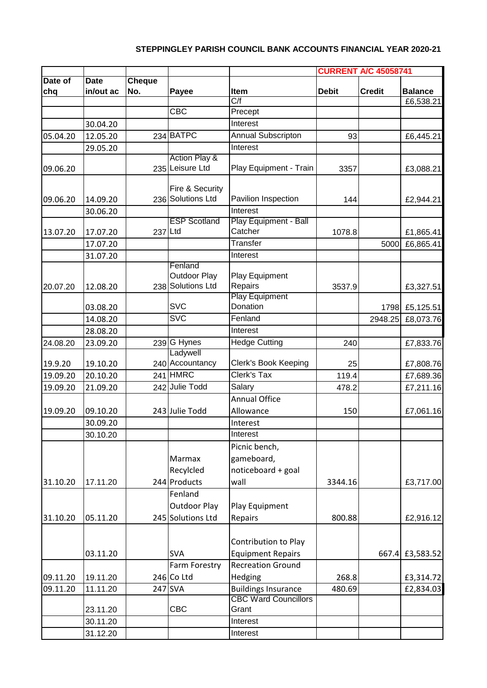## **STEPPINGLEY PARISH COUNCIL BANK ACCOUNTS FINANCIAL YEAR 2020-21**

|                |                          |                      |                                             |                                                           | <b>CURRENT A/C 45058741</b> |               |                 |
|----------------|--------------------------|----------------------|---------------------------------------------|-----------------------------------------------------------|-----------------------------|---------------|-----------------|
| Date of<br>chq | <b>Date</b><br>in/out ac | <b>Cheque</b><br>No. | Payee                                       | Item                                                      | <b>Debit</b>                | <b>Credit</b> | <b>Balance</b>  |
|                |                          |                      |                                             | $\overline{C/f}$                                          |                             |               | £6,538.21       |
|                |                          |                      | <b>CBC</b>                                  | Precept                                                   |                             |               |                 |
|                | 30.04.20                 |                      |                                             | Interest                                                  |                             |               |                 |
| 05.04.20       | 12.05.20                 | 234                  | <b>BATPC</b>                                | <b>Annual Subscripton</b>                                 | 93                          |               | £6,445.21       |
|                | 29.05.20                 |                      |                                             | Interest                                                  |                             |               |                 |
| 09.06.20       |                          |                      | <b>Action Play &amp;</b><br>235 Leisure Ltd | Play Equipment - Train                                    | 3357                        |               | £3,088.21       |
|                |                          |                      |                                             |                                                           |                             |               |                 |
|                |                          |                      | Fire & Security                             |                                                           |                             |               |                 |
| 09.06.20       | 14.09.20                 |                      | 236 Solutions Ltd                           | Pavilion Inspection                                       | 144                         |               | £2,944.21       |
|                | 30.06.20                 |                      |                                             | Interest                                                  |                             |               |                 |
|                |                          |                      | <b>ESP Scotland</b>                         | Play Equipment - Ball                                     |                             |               |                 |
| 13.07.20       | 17.07.20                 | 237 Ltd              |                                             | Catcher                                                   | 1078.8                      |               | £1,865.41       |
|                | 17.07.20                 |                      |                                             | Transfer                                                  |                             | 5000          | £6,865.41       |
|                | 31.07.20                 |                      |                                             | Interest                                                  |                             |               |                 |
|                |                          |                      | Fenland                                     |                                                           |                             |               |                 |
|                |                          |                      | <b>Outdoor Play</b>                         | Play Equipment                                            |                             |               |                 |
| 20.07.20       | 12.08.20                 |                      | 238 Solutions Ltd                           | Repairs<br><b>Play Equipment</b>                          | 3537.9                      |               | £3,327.51       |
|                | 03.08.20                 |                      | <b>SVC</b>                                  | Donation                                                  |                             | 1798          | £5,125.51       |
|                | 14.08.20                 |                      | <b>SVC</b>                                  | Fenland                                                   |                             | 2948.25       | £8,073.76       |
|                | 28.08.20                 |                      |                                             | Interest                                                  |                             |               |                 |
| 24.08.20       | 23.09.20                 |                      | 239 G Hynes                                 | <b>Hedge Cutting</b>                                      | 240                         |               |                 |
|                |                          |                      | Ladywell                                    |                                                           |                             |               | £7,833.76       |
| 19.9.20        | 19.10.20                 |                      | 240 Accountancy                             | Clerk's Book Keeping                                      | 25                          |               | £7,808.76       |
| 19.09.20       | 20.10.20                 |                      | 241 HMRC                                    | Clerk's Tax                                               | 119.4                       |               | £7,689.36       |
| 19.09.20       | 21.09.20                 |                      | 242 Julie Todd                              | Salary                                                    | 478.2                       |               | £7,211.16       |
|                |                          |                      |                                             | <b>Annual Office</b>                                      |                             |               |                 |
| 19.09.20       | 09.10.20                 |                      | 243 Julie Todd                              | Allowance                                                 | 150                         |               | £7,061.16       |
|                | 30.09.20                 |                      |                                             | Interest                                                  |                             |               |                 |
|                | 30.10.20                 |                      |                                             | Interest                                                  |                             |               |                 |
|                |                          |                      |                                             | Picnic bench,                                             |                             |               |                 |
|                |                          |                      | Marmax                                      | gameboard,                                                |                             |               |                 |
|                |                          |                      |                                             | noticeboard + goal                                        |                             |               |                 |
|                | 17.11.20                 |                      | Recylcled<br>244 Products                   |                                                           |                             |               |                 |
| 31.10.20       |                          |                      |                                             | wall                                                      | 3344.16                     |               | £3,717.00       |
|                |                          |                      | Fenland                                     |                                                           |                             |               |                 |
|                |                          |                      | <b>Outdoor Play</b>                         | Play Equipment                                            |                             |               |                 |
| 31.10.20       | 05.11.20                 |                      | 245 Solutions Ltd                           | Repairs                                                   | 800.88                      |               | £2,916.12       |
|                |                          |                      |                                             | Contribution to Play                                      |                             |               |                 |
|                | 03.11.20                 |                      | <b>SVA</b>                                  | <b>Equipment Repairs</b>                                  |                             |               | 667.4 £3,583.52 |
|                |                          |                      | Farm Forestry                               | <b>Recreation Ground</b>                                  |                             |               |                 |
|                |                          |                      |                                             |                                                           |                             |               |                 |
| 09.11.20       | 19.11.20                 |                      | 246 Co Ltd                                  | Hedging                                                   | 268.8                       |               | £3,314.72       |
| 09.11.20       | 11.11.20                 |                      | 247 SVA                                     | <b>Buildings Insurance</b><br><b>CBC Ward Councillors</b> | 480.69                      |               | £2,834.03       |
|                | 23.11.20                 |                      | <b>CBC</b>                                  | Grant                                                     |                             |               |                 |
|                | 30.11.20                 |                      |                                             | Interest                                                  |                             |               |                 |
|                | 31.12.20                 |                      |                                             | Interest                                                  |                             |               |                 |
|                |                          |                      |                                             |                                                           |                             |               |                 |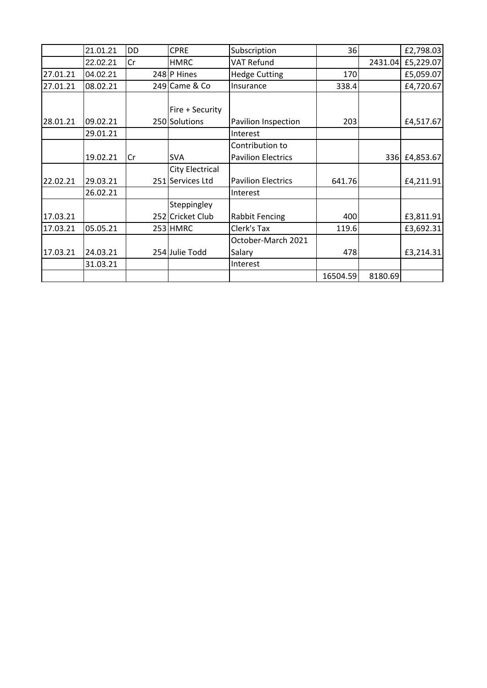|          | 21.01.21             | DD | <b>CPRE</b>                      | Subscription                                 | 36       |         | £2,798.03     |
|----------|----------------------|----|----------------------------------|----------------------------------------------|----------|---------|---------------|
|          | 22.02.21             | Cr | <b>HMRC</b>                      | <b>VAT Refund</b>                            |          | 2431.04 | £5,229.07     |
| 27.01.21 | 04.02.21             |    | 248 P Hines                      | <b>Hedge Cutting</b>                         | 170      |         | £5,059.07     |
| 27.01.21 | 08.02.21             |    | 249 Came & Co                    | Insurance                                    | 338.4    |         | £4,720.67     |
| 28.01.21 | 09.02.21             |    | Fire + Security<br>250 Solutions | Pavilion Inspection                          | 203      |         | £4,517.67     |
|          | 29.01.21             |    |                                  | Interest                                     |          |         |               |
|          | 19.02.21             | Cr | <b>SVA</b>                       | Contribution to<br><b>Pavilion Electrics</b> |          |         | 336 £4,853.67 |
|          |                      |    | City Electrical                  |                                              |          |         |               |
| 22.02.21 | 29.03.21             |    | 251 Services Ltd                 | <b>Pavilion Electrics</b>                    | 641.76   |         | £4,211.91     |
|          | 26.02.21             |    |                                  | Interest                                     |          |         |               |
| 17.03.21 |                      |    | Steppingley<br>252 Cricket Club  | <b>Rabbit Fencing</b>                        | 400      |         | £3,811.91     |
| 17.03.21 | 05.05.21             |    | 253 HMRC                         | Clerk's Tax                                  | 119.6    |         | £3,692.31     |
| 17.03.21 | 24.03.21<br>31.03.21 |    | 254 Julie Todd                   | October-March 2021<br>Salary<br>Interest     | 478      |         | £3,214.31     |
|          |                      |    |                                  |                                              | 16504.59 | 8180.69 |               |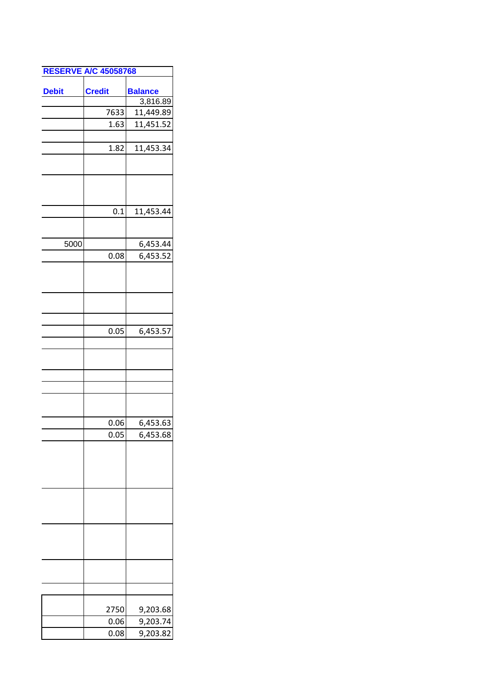| <b>RESERVE A/C 45058768</b> |               |                        |  |  |  |
|-----------------------------|---------------|------------------------|--|--|--|
| <b>Debit</b>                |               |                        |  |  |  |
|                             | <b>Credit</b> | <b>Balance</b>         |  |  |  |
|                             |               | 3,816.89               |  |  |  |
|                             | 7633          | 11,449.89              |  |  |  |
|                             | 1.63          | 11,451.52              |  |  |  |
|                             |               |                        |  |  |  |
|                             | 1.82          | $11,453.\overline{34}$ |  |  |  |
|                             |               |                        |  |  |  |
|                             |               |                        |  |  |  |
|                             |               |                        |  |  |  |
|                             |               |                        |  |  |  |
|                             | 0.1           | 11,453.44              |  |  |  |
|                             |               |                        |  |  |  |
|                             |               |                        |  |  |  |
| 5000                        |               | 6,453.44               |  |  |  |
|                             | 0.08          | 6,453.52               |  |  |  |
|                             |               |                        |  |  |  |
|                             |               |                        |  |  |  |
|                             |               |                        |  |  |  |
|                             |               |                        |  |  |  |
|                             |               |                        |  |  |  |
|                             |               |                        |  |  |  |
|                             | 0.05          | 6,453.57               |  |  |  |
|                             |               |                        |  |  |  |
|                             |               |                        |  |  |  |
|                             |               |                        |  |  |  |
|                             |               |                        |  |  |  |
|                             |               |                        |  |  |  |
|                             |               |                        |  |  |  |
|                             |               |                        |  |  |  |
|                             | 0.06          | 6,453.63               |  |  |  |
|                             | 0.05          | 6,453.68               |  |  |  |
|                             |               |                        |  |  |  |
|                             |               |                        |  |  |  |
|                             |               |                        |  |  |  |
|                             |               |                        |  |  |  |
|                             |               |                        |  |  |  |
|                             |               |                        |  |  |  |
|                             |               |                        |  |  |  |
|                             |               |                        |  |  |  |
|                             |               |                        |  |  |  |
|                             |               |                        |  |  |  |
|                             |               |                        |  |  |  |
|                             |               |                        |  |  |  |
|                             |               |                        |  |  |  |
|                             |               |                        |  |  |  |
|                             |               |                        |  |  |  |
|                             | 2750          | 9,203.68               |  |  |  |
|                             | 0.06          | 9,203.74               |  |  |  |
|                             | 0.08          | 9,203.82               |  |  |  |
|                             |               |                        |  |  |  |